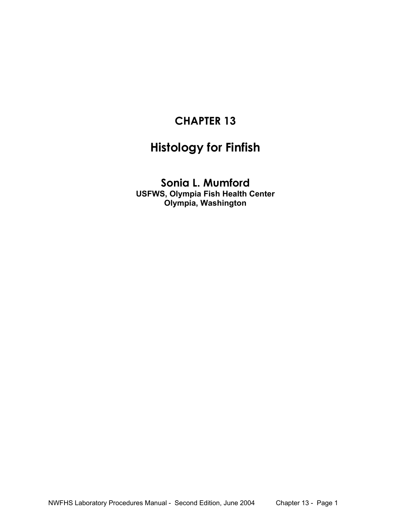# **CHAPTER 13**

# **Histology for Finfish**

**Sonia L. Mumford USFWS, Olympia Fish Health Center Olympia, Washington**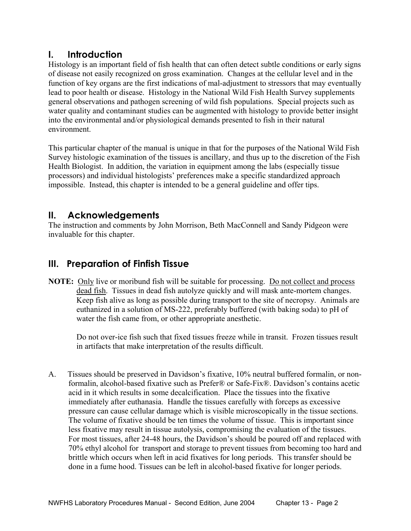# **I. Introduction**

Histology is an important field of fish health that can often detect subtle conditions or early signs of disease not easily recognized on gross examination. Changes at the cellular level and in the function of key organs are the first indications of mal-adjustment to stressors that may eventually lead to poor health or disease. Histology in the National Wild Fish Health Survey supplements general observations and pathogen screening of wild fish populations. Special projects such as water quality and contaminant studies can be augmented with histology to provide better insight into the environmental and/or physiological demands presented to fish in their natural environment.

This particular chapter of the manual is unique in that for the purposes of the National Wild Fish Survey histologic examination of the tissues is ancillary, and thus up to the discretion of the Fish Health Biologist. In addition, the variation in equipment among the labs (especially tissue processors) and individual histologists' preferences make a specific standardized approach impossible. Instead, this chapter is intended to be a general guideline and offer tips.

# **II. Acknowledgements**

The instruction and comments by John Morrison, Beth MacConnell and Sandy Pidgeon were invaluable for this chapter.

# **III. Preparation of Finfish Tissue**

**NOTE:** Only live or moribund fish will be suitable for processing. Do not collect and process dead fish. Tissues in dead fish autolyze quickly and will mask ante-mortem changes. Keep fish alive as long as possible during transport to the site of necropsy. Animals are euthanized in a solution of MS-222, preferably buffered (with baking soda) to pH of water the fish came from, or other appropriate anesthetic.

Do not over-ice fish such that fixed tissues freeze while in transit. Frozen tissues result in artifacts that make interpretation of the results difficult.

 A. Tissues should be preserved in Davidson's fixative, 10% neutral buffered formalin, or nonformalin, alcohol-based fixative such as Prefer® or Safe-Fix®. Davidson's contains acetic acid in it which results in some decalcification. Place the tissues into the fixative immediately after euthanasia. Handle the tissues carefully with forceps as excessive pressure can cause cellular damage which is visible microscopically in the tissue sections. The volume of fixative should be ten times the volume of tissue. This is important since less fixative may result in tissue autolysis, compromising the evaluation of the tissues. For most tissues, after 24-48 hours, the Davidson's should be poured off and replaced with 70% ethyl alcohol for transport and storage to prevent tissues from becoming too hard and brittle which occurs when left in acid fixatives for long periods. This transfer should be done in a fume hood. Tissues can be left in alcohol-based fixative for longer periods.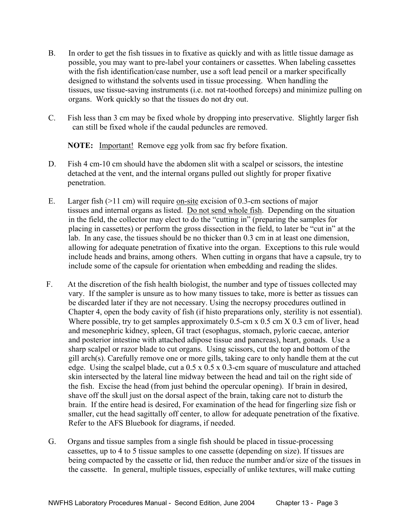- B. In order to get the fish tissues in to fixative as quickly and with as little tissue damage as possible, you may want to pre-label your containers or cassettes. When labeling cassettes with the fish identification/case number, use a soft lead pencil or a marker specifically designed to withstand the solvents used in tissue processing. When handling the tissues, use tissue-saving instruments (i.e. not rat-toothed forceps) and minimize pulling on organs. Work quickly so that the tissues do not dry out.
- C. Fish less than 3 cm may be fixed whole by dropping into preservative. Slightly larger fish can still be fixed whole if the caudal peduncles are removed.

**NOTE:** Important! Remove egg yolk from sac fry before fixation.

- D. Fish 4 cm-10 cm should have the abdomen slit with a scalpel or scissors, the intestine detached at the vent, and the internal organs pulled out slightly for proper fixative penetration.
- E. Larger fish (>11 cm) will require on-site excision of 0.3-cm sections of major tissues and internal organs as listed. Do not send whole fish. Depending on the situation in the field, the collector may elect to do the "cutting in" (preparing the samples for placing in cassettes) or perform the gross dissection in the field, to later be "cut in" at the lab. In any case, the tissues should be no thicker than 0.3 cm in at least one dimension, allowing for adequate penetration of fixative into the organ. Exceptions to this rule would include heads and brains, among others. When cutting in organs that have a capsule, try to include some of the capsule for orientation when embedding and reading the slides.
- F. At the discretion of the fish health biologist, the number and type of tissues collected may vary. If the sampler is unsure as to how many tissues to take, more is better as tissues can be discarded later if they are not necessary. Using the necropsy procedures outlined in Chapter 4, open the body cavity of fish (if histo preparations only, sterility is not essential). Where possible, try to get samples approximately 0.5-cm x 0.5 cm X 0.3 cm of liver, head and mesonephric kidney, spleen, GI tract (esophagus, stomach, pyloric caecae, anterior and posterior intestine with attached adipose tissue and pancreas), heart, gonads. Use a sharp scalpel or razor blade to cut organs. Using scissors, cut the top and bottom of the gill arch(s). Carefully remove one or more gills, taking care to only handle them at the cut edge. Using the scalpel blade, cut a 0.5 x 0.5 x 0.3-cm square of musculature and attached skin intersected by the lateral line midway between the head and tail on the right side of the fish. Excise the head (from just behind the opercular opening). If brain in desired, shave off the skull just on the dorsal aspect of the brain, taking care not to disturb the brain. If the entire head is desired, For examination of the head for fingerling size fish or smaller, cut the head sagittally off center, to allow for adequate penetration of the fixative. Refer to the AFS Bluebook for diagrams, if needed.
- G. Organs and tissue samples from a single fish should be placed in tissue-processing cassettes, up to 4 to 5 tissue samples to one cassette (depending on size). If tissues are being compacted by the cassette or lid, then reduce the number and/or size of the tissues in the cassette. In general, multiple tissues, especially of unlike textures, will make cutting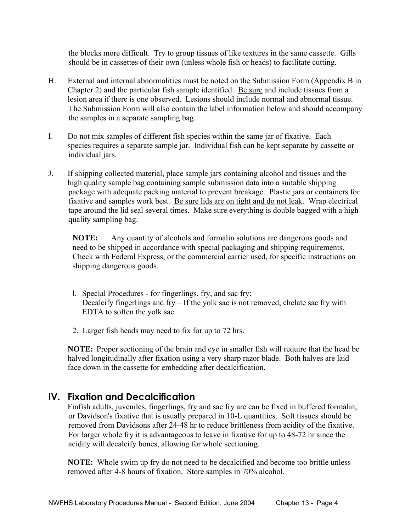the blocks more difficult. Try to group tissues of like textures in the same cassette. Gills should be in cassettes of their own (unless whole fish or heads) to facilitate cutting.

- H. External and internal abnormalities must be noted on the Submission Form (Appendix B in Chapter 2) and the particular fish sample identified. Be sure and include tissues from a lesion area if there is one observed. Lesions should include normal and abnormal tissue. The Submission Form will also contain the label information below and should accompany the samples in a separate sampling bag.
- I. Do not mix samples of different fish species within the same jar of fixative. Each species requires a separate sample jar. Individual fish can be kept separate by cassette or individual jars.
- J. If shipping collected material, place sample jars containing alcohol and tissues and the high quality sample bag containing sample submission data into a suitable shipping package with adequate packing material to prevent breakage. Plastic jars or containers for fixative and samples work best. Be sure lids are on tight and do not leak. Wrap electrical tape around the lid seal several times. Make sure everything is double bagged with a high quality sampling bag.

 **NOTE:** Any quantity of alcohols and formalin solutions are dangerous goods and need to be shipped in accordance with special packaging and shipping requirements. Check with Federal Express, or the commercial carrier used, for specific instructions on shipping dangerous goods.

- l. Special Procedures for fingerlings, fry, and sac fry: Decalcify fingerlings and fry – If the yolk sac is not removed, chelate sac fry with EDTA to soften the yolk sac.
- 2. Larger fish heads may need to fix for up to 72 hrs.

 **NOTE:** Proper sectioning of the brain and eye in smaller fish will require that the head be halved longitudinally after fixation using a very sharp razor blade. Both halves are laid face down in the cassette for embedding after decalcification.

#### **IV. Fixation and Decalcification**

 Finfish adults, juveniles, fingerlings, fry and sac fry are can be fixed in buffered formalin, or Davidson's fixative that is usually prepared in 10-L quantities. Soft tissues should be removed from Davidsons after 24-48 hr to reduce brittleness from acidity of the fixative. For larger whole fry it is advantageous to leave in fixative for up to 48-72 hr since the acidity will decalcify bones, allowing for whole sectioning.

 **NOTE:** Whole swim up fry do not need to be decalcified and become too brittle unless removed after 4-8 hours of fixation. Store samples in 70% alcohol.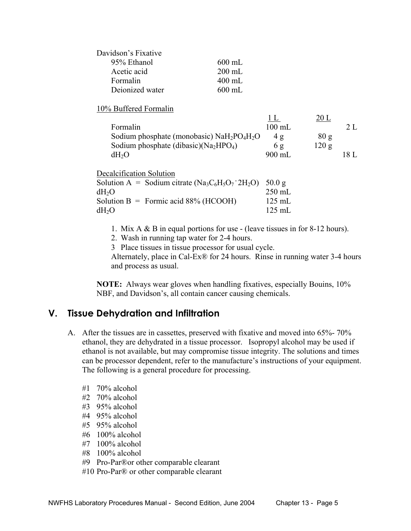| Davidson's Fixative |          |
|---------------------|----------|
| 95% Ethanol         | $600$ mL |
| Acetic acid         | $200$ mL |
| Formalin            | $400$ mL |
| Deionized water     | $600$ mL |

#### 10% Buffered Formalin

| Formalin                                     | $100 \text{ mL}$ |       |      |
|----------------------------------------------|------------------|-------|------|
| Sodium phosphate (monobasic) $NaH_2PO_4H_2O$ | 4 σ              | 80g   |      |
| Sodium phosphate (dibasic)( $Na2HPO4$ )      | 6g               | 120 g |      |
| dH <sub>2</sub> O                            | 900 mL           |       | 18 L |

| Decalcification Solution                                         |                  |
|------------------------------------------------------------------|------------------|
| Solution A = Sodium citrate $(Na_3C_6H_5O_7 \cdot 2H_2O)$ 50.0 g |                  |
| dH <sub>2</sub> O                                                | $250$ mL         |
| Solution B = Formic acid $88\%$ (HCOOH)                          | $125$ mL         |
| dH <sub>2</sub> O                                                | $125 \text{ mL}$ |

- 1. Mix A & B in equal portions for use (leave tissues in for 8-12 hours).
- 2. Wash in running tap water for 2-4 hours.
- 3 Place tissues in tissue processor for usual cycle.

 Alternately, place in Cal-Ex® for 24 hours. Rinse in running water 3-4 hours and process as usual.

 **NOTE:** Always wear gloves when handling fixatives, especially Bouins, 10% NBF, and Davidson's, all contain cancer causing chemicals.

#### **V. Tissue Dehydration and Infiltration**

- A. After the tissues are in cassettes, preserved with fixative and moved into 65%- 70% ethanol, they are dehydrated in a tissue processor. Isopropyl alcohol may be used if ethanol is not available, but may compromise tissue integrity. The solutions and times can be processor dependent, refer to the manufacture's instructions of your equipment. The following is a general procedure for processing.
	- #1 70% alcohol
	- #2 70% alcohol
	- #3 95% alcohol
	- #4 95% alcohol
	- #5 95% alcohol
	- #6 100% alcohol
	- #7 100% alcohol
	- #8 100% alcohol
	- #9 Pro-Par®or other comparable clearant
	- #10 Pro-Par® or other comparable clearant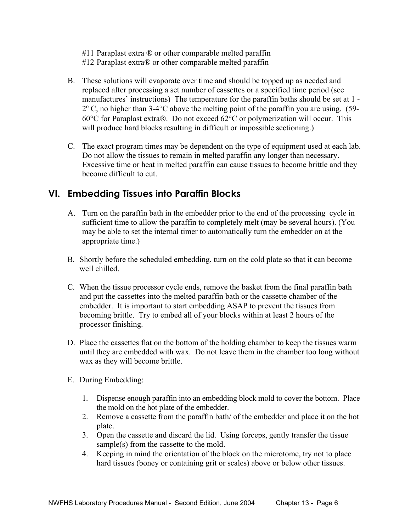#11 Paraplast extra ® or other comparable melted paraffin

#12 Paraplast extra® or other comparable melted paraffin

- B. These solutions will evaporate over time and should be topped up as needed and replaced after processing a set number of cassettes or a specified time period (see manufactures' instructions) The temperature for the paraffin baths should be set at 1 - 2º C, no higher than 3-4°C above the melting point of the paraffin you are using. (59- 60°C for Paraplast extra®. Do not exceed 62°C or polymerization will occur. This will produce hard blocks resulting in difficult or impossible sectioning.)
- C. The exact program times may be dependent on the type of equipment used at each lab. Do not allow the tissues to remain in melted paraffin any longer than necessary. Excessive time or heat in melted paraffin can cause tissues to become brittle and they become difficult to cut.

# **VI. Embedding Tissues into Paraffin Blocks**

- A. Turn on the paraffin bath in the embedder prior to the end of the processing cycle in sufficient time to allow the paraffin to completely melt (may be several hours). (You may be able to set the internal timer to automatically turn the embedder on at the appropriate time.)
- B. Shortly before the scheduled embedding, turn on the cold plate so that it can become well chilled.
- C. When the tissue processor cycle ends, remove the basket from the final paraffin bath and put the cassettes into the melted paraffin bath or the cassette chamber of the embedder. It is important to start embedding ASAP to prevent the tissues from becoming brittle. Try to embed all of your blocks within at least 2 hours of the processor finishing.
- D. Place the cassettes flat on the bottom of the holding chamber to keep the tissues warm until they are embedded with wax. Do not leave them in the chamber too long without wax as they will become brittle.
- E. During Embedding:
	- 1. Dispense enough paraffin into an embedding block mold to cover the bottom. Place the mold on the hot plate of the embedder.
	- 2. Remove a cassette from the paraffin bath/ of the embedder and place it on the hot plate.
	- 3. Open the cassette and discard the lid. Using forceps, gently transfer the tissue sample(s) from the cassette to the mold.
	- 4. Keeping in mind the orientation of the block on the microtome, try not to place hard tissues (boney or containing grit or scales) above or below other tissues.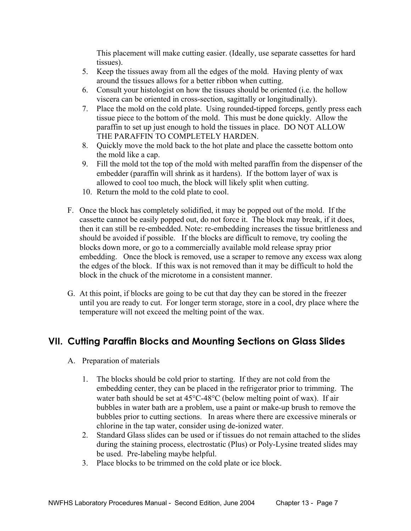This placement will make cutting easier. (Ideally, use separate cassettes for hard tissues).

- 5. Keep the tissues away from all the edges of the mold. Having plenty of wax around the tissues allows for a better ribbon when cutting.
- 6. Consult your histologist on how the tissues should be oriented (i.e. the hollow viscera can be oriented in cross-section, sagittally or longitudinally).
- 7. Place the mold on the cold plate. Using rounded-tipped forceps, gently press each tissue piece to the bottom of the mold. This must be done quickly. Allow the paraffin to set up just enough to hold the tissues in place. DO NOT ALLOW THE PARAFFIN TO COMPLETELY HARDEN.
- 8. Quickly move the mold back to the hot plate and place the cassette bottom onto the mold like a cap.
- 9. Fill the mold tot the top of the mold with melted paraffin from the dispenser of the embedder (paraffin will shrink as it hardens). If the bottom layer of wax is allowed to cool too much, the block will likely split when cutting.
- 10. Return the mold to the cold plate to cool.
- F. Once the block has completely solidified, it may be popped out of the mold. If the cassette cannot be easily popped out, do not force it. The block may break, if it does, then it can still be re-embedded. Note: re-embedding increases the tissue brittleness and should be avoided if possible. If the blocks are difficult to remove, try cooling the blocks down more, or go to a commercially available mold release spray prior embedding. Once the block is removed, use a scraper to remove any excess wax along the edges of the block. If this wax is not removed than it may be difficult to hold the block in the chuck of the microtome in a consistent manner.
- G. At this point, if blocks are going to be cut that day they can be stored in the freezer until you are ready to cut. For longer term storage, store in a cool, dry place where the temperature will not exceed the melting point of the wax.

## **VII. Cutting Paraffin Blocks and Mounting Sections on Glass Slides**

- A. Preparation of materials
	- 1. The blocks should be cold prior to starting. If they are not cold from the embedding center, they can be placed in the refrigerator prior to trimming. The water bath should be set at 45°C-48°C (below melting point of wax). If air bubbles in water bath are a problem, use a paint or make-up brush to remove the bubbles prior to cutting sections. In areas where there are excessive minerals or chlorine in the tap water, consider using de-ionized water.
	- 2. Standard Glass slides can be used or if tissues do not remain attached to the slides during the staining process, electrostatic (Plus) or Poly-Lysine treated slides may be used. Pre-labeling maybe helpful.
	- 3. Place blocks to be trimmed on the cold plate or ice block.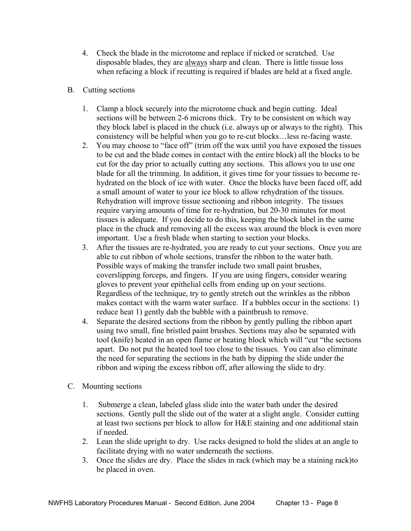- 4. Check the blade in the microtome and replace if nicked or scratched. Use disposable blades, they are always sharp and clean. There is little tissue loss when refacing a block if recutting is required if blades are held at a fixed angle.
- B. Cutting sections
	- 1. Clamp a block securely into the microtome chuck and begin cutting. Ideal sections will be between 2-6 microns thick. Try to be consistent on which way they block label is placed in the chuck (i.e. always up or always to the right). This consistency will be helpful when you go to re-cut blocks…less re-facing waste.
	- 2. You may choose to "face off" (trim off the wax until you have exposed the tissues to be cut and the blade comes in contact with the entire block) all the blocks to be cut for the day prior to actually cutting any sections. This allows you to use one blade for all the trimming. In addition, it gives time for your tissues to become rehydrated on the block of ice with water. Once the blocks have been faced off, add a small amount of water to your ice block to allow rehydration of the tissues. Rehydration will improve tissue sectioning and ribbon integrity. The tissues require varying amounts of time for re-hydration, but 20-30 minutes for most tissues is adequate. If you decide to do this, keeping the block label in the same place in the chuck and removing all the excess wax around the block is even more important. Use a fresh blade when starting to section your blocks.
	- 3. After the tissues are re-hydrated, you are ready to cut your sections. Once you are able to cut ribbon of whole sections, transfer the ribbon to the water bath. Possible ways of making the transfer include two small paint brushes, coverslipping forceps, and fingers. If you are using fingers, consider wearing gloves to prevent your epithelial cells from ending up on your sections. Regardless of the technique, try to gently stretch out the wrinkles as the ribbon makes contact with the warm water surface. If a bubbles occur in the sections: 1) reduce heat 1) gently dab the bubble with a paintbrush to remove.
	- 4. Separate the desired sections from the ribbon by gently pulling the ribbon apart using two small, fine bristled paint brushes. Sections may also be separated with tool (knife) heated in an open flame or heating block which will "cut "the sections apart. Do not put the heated tool too close to the tissues. You can also eliminate the need for separating the sections in the bath by dipping the slide under the ribbon and wiping the excess ribbon off, after allowing the slide to dry.
- C. Mounting sections
	- 1. Submerge a clean, labeled glass slide into the water bath under the desired sections. Gently pull the slide out of the water at a slight angle. Consider cutting at least two sections per block to allow for H&E staining and one additional stain if needed.
	- 2. Lean the slide upright to dry. Use racks designed to hold the slides at an angle to facilitate drying with no water underneath the sections.
	- 3. Once the slides are dry. Place the slides in rack (which may be a staining rack)to be placed in oven.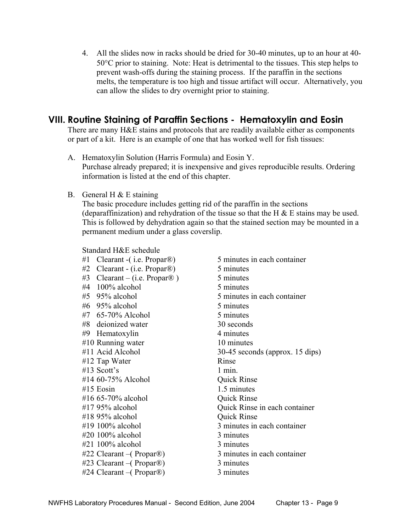4. All the slides now in racks should be dried for 30-40 minutes, up to an hour at 40- 50°C prior to staining. Note: Heat is detrimental to the tissues. This step helps to prevent wash-offs during the staining process. If the paraffin in the sections melts, the temperature is too high and tissue artifact will occur. Alternatively, you can allow the slides to dry overnight prior to staining.

#### **VIII. Routine Staining of Paraffin Sections - Hematoxylin and Eosin**

There are many H&E stains and protocols that are readily available either as components or part of a kit. Here is an example of one that has worked well for fish tissues:

- A. Hematoxylin Solution (Harris Formula) and Eosin Y. Purchase already prepared; it is inexpensive and gives reproducible results. Ordering information is listed at the end of this chapter.
- B. General H  $&$  E staining

 The basic procedure includes getting rid of the paraffin in the sections (deparaffinization) and rehydration of the tissue so that the H  $\&$  E stains may be used. This is followed by dehydration again so that the stained section may be mounted in a permanent medium under a glass coverslip.

Standard H&E schedule

#1 Clearant -(i.e. Propar®) 5 minutes in each container  $#2$  Clearant - (i.e. Propar<sup>®</sup>) 5 minutes  $#3$  Clearant – (i.e. Propar<sup>®</sup>) 5 minutes  $#4$  100% alcohol 5 minutes #5 95% alcohol 5 minutes in each container #6 95% alcohol 5 minutes  $#7$  65-70% Alcohol 5 minutes #8 deionized water 30 seconds #9 Hematoxylin 4 minutes #10 Running water 10 minutes #11 Acid Alcohol 30-45 seconds (approx. 15 dips) #12 Tap Water Rinse  $#13$  Scott's 1 min. #14 60-75% Alcohol Quick Rinse #15 Eosin 1.5 minutes  $\#16$  65-70% alcohol  $\qquad \qquad$  Ouick Rinse #17 95% alcohol Quick Rinse in each container #18 95% alcohol Quick Rinse #19 100% alcohol 3 minutes in each container #20 100% alcohol 3 minutes #21 100% alcohol 3 minutes #22 Clearant –( Propar®) 3 minutes in each container #23 Clearant –( Propar®) 3 minutes #24 Clearant –( Propar®) 3 minutes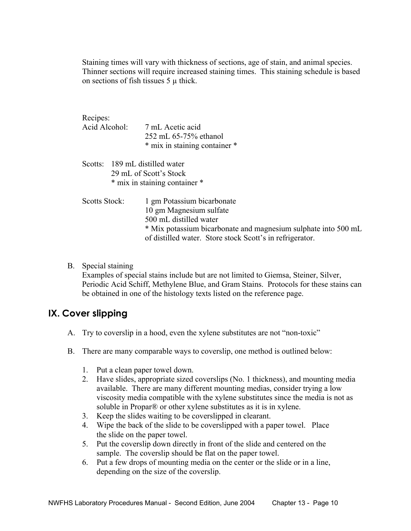Staining times will vary with thickness of sections, age of stain, and animal species. Thinner sections will require increased staining times. This staining schedule is based on sections of fish tissues  $5 \mu$  thick.

| Recipes:<br>Acid Alcohol:      | 7 mL Acetic acid<br>252 mL 65-75% ethanol<br>* mix in staining container *                                                                                                                                    |
|--------------------------------|---------------------------------------------------------------------------------------------------------------------------------------------------------------------------------------------------------------|
| Scotts: 189 mL distilled water | 29 mL of Scott's Stock<br>* mix in staining container *                                                                                                                                                       |
| Scotts Stock:                  | 1 gm Potassium bicarbonate<br>10 gm Magnesium sulfate<br>500 mL distilled water<br>* Mix potassium bicarbonate and magnesium sulphate into 500 mL<br>of distilled water. Store stock Scott's in refrigerator. |

B. Special staining Examples of special stains include but are not limited to Giemsa, Steiner, Silver, Periodic Acid Schiff, Methylene Blue, and Gram Stains. Protocols for these stains can be obtained in one of the histology texts listed on the reference page.

## **IX. Cover slipping**

- A. Try to coverslip in a hood, even the xylene substitutes are not "non-toxic"
- B. There are many comparable ways to coverslip, one method is outlined below:
	- 1. Put a clean paper towel down.
	- 2. Have slides, appropriate sized coverslips (No. 1 thickness), and mounting media available. There are many different mounting medias, consider trying a low viscosity media compatible with the xylene substitutes since the media is not as soluble in Propar® or other xylene substitutes as it is in xylene.
	- 3. Keep the slides waiting to be coverslipped in clearant.
	- 4. Wipe the back of the slide to be coverslipped with a paper towel. Place the slide on the paper towel.
	- 5. Put the coverslip down directly in front of the slide and centered on the sample. The coverslip should be flat on the paper towel.
	- 6. Put a few drops of mounting media on the center or the slide or in a line, depending on the size of the coverslip.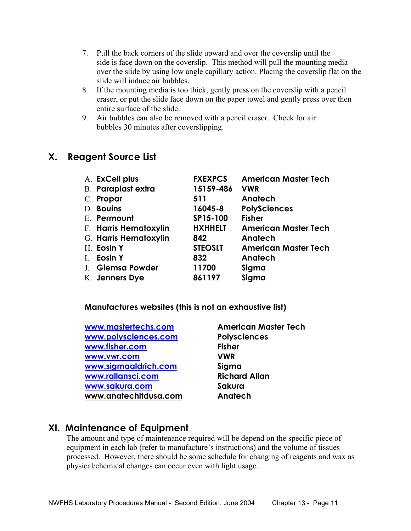- 7. Pull the back corners of the slide upward and over the coverslip until the side is face down on the coverslip. This method will pull the mounting media over the slide by using low angle capillary action. Placing the coverslip flat on the slide will induce air bubbles.
- 8. If the mounting media is too thick, gently press on the coverslip with a pencil eraser, or put the slide face down on the paper towel and gently press over then entire surface of the slide.
- 9. Air bubbles can also be removed with a pencil eraser. Check for air bubbles 30 minutes after coverslipping.

#### **X. Reagent Source List**

|                | A. ExCell plus            | <b>FXEXPCS</b> | <b>American Master Tech</b> |
|----------------|---------------------------|----------------|-----------------------------|
|                | <b>B.</b> Paraplast extra | 15159-486      | <b>VWR</b>                  |
|                | C. Propar                 | 511            | Anatech                     |
|                | D. Bouins                 | 16045-8        | <b>PolySciences</b>         |
|                | E. Permount               | SP15-100       | <b>Fisher</b>               |
|                | F. Harris Hematoxylin     | <b>HXHHELT</b> | <b>American Master Tech</b> |
|                | G. Harris Hematoxylin     | 842            | Anatech                     |
|                | H. Eosin Y                | <b>STEOSLT</b> | <b>American Master Tech</b> |
| $\mathbf{I}$ . | Eosin Y                   | 832            | Anatech                     |
|                | J. Giemsa Powder          | 11700          | Sigma                       |
|                | K. Jenners Dye            | 861197         | Sigma                       |

**Manufactures websites (this is not an exhaustive list)** 

| www.mastertechs.com   | Amer         |
|-----------------------|--------------|
| www.polysciences.com  | <b>Polys</b> |
| www.fisher.com        | Fisher       |
| www.vwr.com           | <b>VWR</b>   |
| www.sigmaaldrich.com  | Sigm         |
| www.rallansci.com     | <b>Richo</b> |
| www.sakura.com        | Saku         |
| www.anatechitdusa.com | Anate        |
|                       |              |

**American Master Tech Polysciences Fisher Siama Richard Allan** Sakura **Anatech** 

#### **XI. Maintenance of Equipment**

The amount and type of maintenance required will be depend on the specific piece of equipment in each lab (refer to manufacture's instructions) and the volume of tissues processed. However, there should be some schedule for changing of reagents and wax as physical/chemical changes can occur even with light usage.